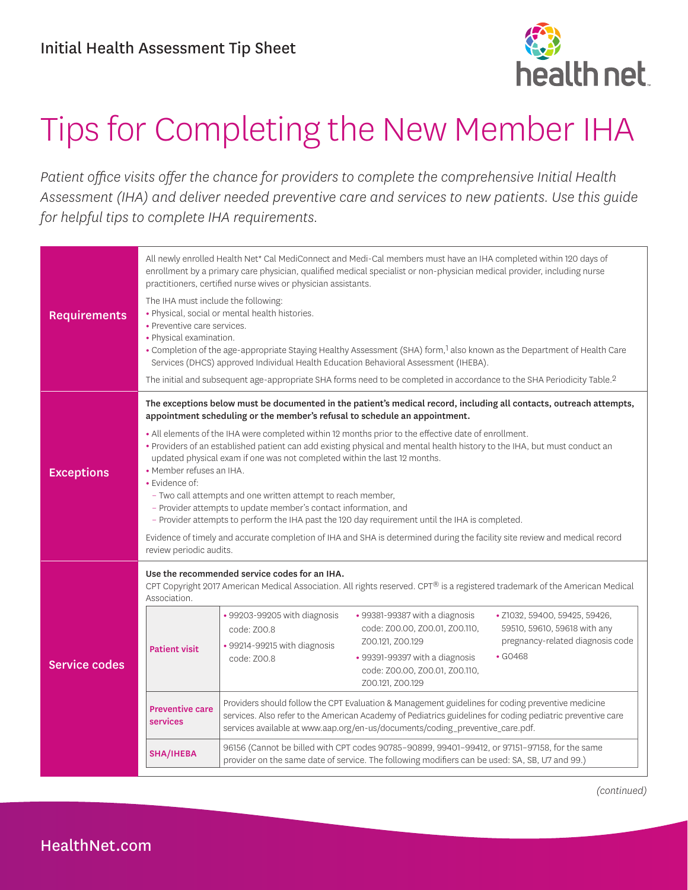

## Tips for Completing the New Member IHA

*Patient office visits offer the chance for providers to complete the comprehensive Initial Health Assessment (IHA) and deliver needed preventive care and services to new patients. Use this guide for helpful tips to complete IHA requirements.* 

| <b>Requirements</b>  | All newly enrolled Health Net* Cal MediConnect and Medi-Cal members must have an IHA completed within 120 days of<br>enrollment by a primary care physician, qualified medical specialist or non-physician medical provider, including nurse<br>practitioners, certified nurse wives or physician assistants.<br>The IHA must include the following:<br>• Physical, social or mental health histories.<br>• Preventive care services.<br>• Physical examination.                                                                                                                                                                                                                                                                                            |                                                                                                                                                                                                                                                                                                  |                                                                                                                                                                              |                                                                                                                    |  |  |
|----------------------|-------------------------------------------------------------------------------------------------------------------------------------------------------------------------------------------------------------------------------------------------------------------------------------------------------------------------------------------------------------------------------------------------------------------------------------------------------------------------------------------------------------------------------------------------------------------------------------------------------------------------------------------------------------------------------------------------------------------------------------------------------------|--------------------------------------------------------------------------------------------------------------------------------------------------------------------------------------------------------------------------------------------------------------------------------------------------|------------------------------------------------------------------------------------------------------------------------------------------------------------------------------|--------------------------------------------------------------------------------------------------------------------|--|--|
|                      | . Completion of the age-appropriate Staying Healthy Assessment (SHA) form, <sup>1</sup> also known as the Department of Health Care<br>Services (DHCS) approved Individual Health Education Behavioral Assessment (IHEBA).                                                                                                                                                                                                                                                                                                                                                                                                                                                                                                                                  |                                                                                                                                                                                                                                                                                                  |                                                                                                                                                                              |                                                                                                                    |  |  |
|                      | The initial and subsequent age-appropriate SHA forms need to be completed in accordance to the SHA Periodicity Table. <sup>2</sup>                                                                                                                                                                                                                                                                                                                                                                                                                                                                                                                                                                                                                          |                                                                                                                                                                                                                                                                                                  |                                                                                                                                                                              |                                                                                                                    |  |  |
|                      | The exceptions below must be documented in the patient's medical record, including all contacts, outreach attempts,<br>appointment scheduling or the member's refusal to schedule an appointment.                                                                                                                                                                                                                                                                                                                                                                                                                                                                                                                                                           |                                                                                                                                                                                                                                                                                                  |                                                                                                                                                                              |                                                                                                                    |  |  |
| <b>Exceptions</b>    | . All elements of the IHA were completed within 12 months prior to the effective date of enrollment.<br>• Providers of an established patient can add existing physical and mental health history to the IHA, but must conduct an<br>updated physical exam if one was not completed within the last 12 months.<br>• Member refuses an IHA.<br>• Evidence of:<br>- Two call attempts and one written attempt to reach member,<br>- Provider attempts to update member's contact information, and<br>- Provider attempts to perform the IHA past the 120 day requirement until the IHA is completed.<br>Evidence of timely and accurate completion of IHA and SHA is determined during the facility site review and medical record<br>review periodic audits. |                                                                                                                                                                                                                                                                                                  |                                                                                                                                                                              |                                                                                                                    |  |  |
| <b>Service codes</b> | Use the recommended service codes for an IHA.<br>CPT Copyright 2017 American Medical Association. All rights reserved. CPT® is a registered trademark of the American Medical<br>Association.                                                                                                                                                                                                                                                                                                                                                                                                                                                                                                                                                               |                                                                                                                                                                                                                                                                                                  |                                                                                                                                                                              |                                                                                                                    |  |  |
|                      | <b>Patient visit</b>                                                                                                                                                                                                                                                                                                                                                                                                                                                                                                                                                                                                                                                                                                                                        | • 99203-99205 with diagnosis<br>code: Z00.8<br>• 99214-99215 with diagnosis<br>code: Z00.8                                                                                                                                                                                                       | • 99381-99387 with a diagnosis<br>code: Z00.00, Z00.01, Z00.110,<br>Z00.121, Z00.129<br>• 99391-99397 with a diagnosis<br>code: Z00.00, Z00.01, Z00.110,<br>Z00.121, Z00.129 | · Z1032, 59400, 59425, 59426,<br>59510, 59610, 59618 with any<br>pregnancy-related diagnosis code<br>$\cdot$ GO468 |  |  |
|                      | <b>Preventive care</b><br>services                                                                                                                                                                                                                                                                                                                                                                                                                                                                                                                                                                                                                                                                                                                          | Providers should follow the CPT Evaluation & Management guidelines for coding preventive medicine<br>services. Also refer to the American Academy of Pediatrics guidelines for coding pediatric preventive care<br>services available at www.aap.org/en-us/documents/coding_preventive_care.pdf. |                                                                                                                                                                              |                                                                                                                    |  |  |
|                      | SHA/IHEBA                                                                                                                                                                                                                                                                                                                                                                                                                                                                                                                                                                                                                                                                                                                                                   | 96156 (Cannot be billed with CPT codes 90785-90899, 99401-99412, or 97151-97158, for the same<br>provider on the same date of service. The following modifiers can be used: SA, SB, U7 and 99.)                                                                                                  |                                                                                                                                                                              |                                                                                                                    |  |  |

*(continued)*